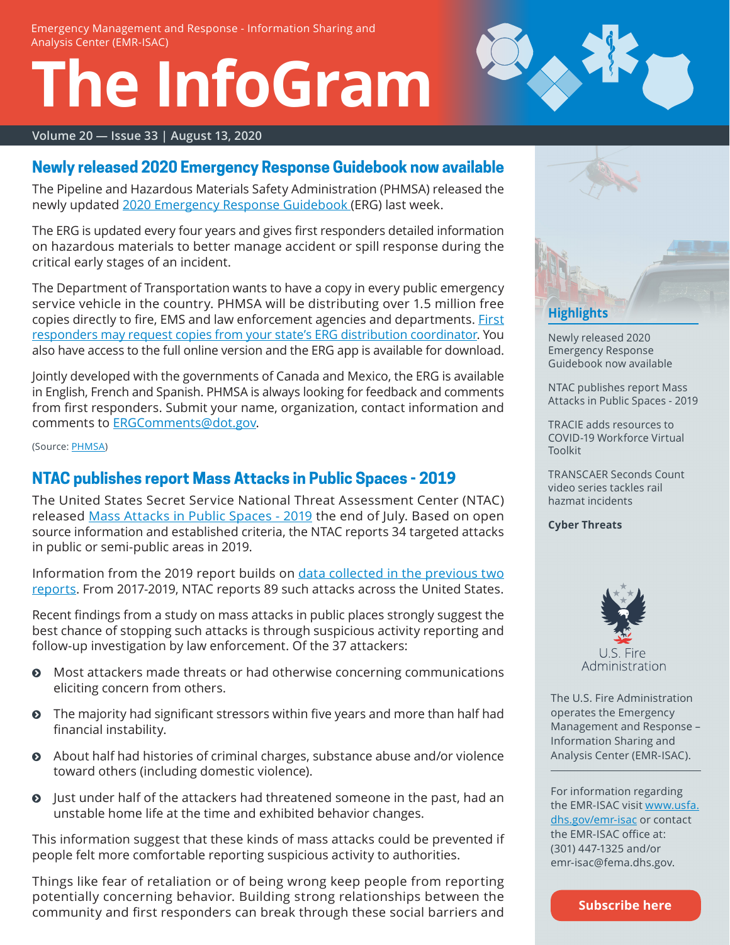# **The InfoGram**



#### **Volume 20 — Issue 33 | August 13, 2020**

#### <span id="page-0-0"></span>**Newly released 2020 Emergency Response Guidebook now available**

The Pipeline and Hazardous Materials Safety Administration (PHMSA) released the newly updated [2020 Emergency Response Guidebook](https://www.phmsa.dot.gov/hazmat/erg/emergency-response-guidebook-erg) (ERG) last week.

The ERG is updated every four years and gives first responders detailed information on hazardous materials to better manage accident or spill response during the critical early stages of an incident.

The Department of Transportation wants to have a copy in every public emergency service vehicle in the country. PHMSA will be distributing over 1.5 million free copies directly to fire, EMS and law enforcement agencies and departments. [First](https://www.phmsa.dot.gov/hazmat/erg/state-coordinators-list)  [responders may request copies from your state's ERG distribution coordinator.](https://www.phmsa.dot.gov/hazmat/erg/state-coordinators-list) You also have access to the full online version and the ERG app is available for download.

Jointly developed with the governments of Canada and Mexico, the ERG is available in English, French and Spanish. PHMSA is always looking for feedback and comments from first responders. Submit your name, organization, contact information and comments to [ERGComments@dot.gov.](mailto:ERGComments@dot.gov)

(Source: [PHMSA](https://www.phmsa.dot.gov/))

## <span id="page-0-1"></span>**NTAC publishes report Mass Attacks in Public Spaces - 2019**

The United States Secret Service National Threat Assessment Center (NTAC) released [Mass Attacks in Public Spaces - 2019](https://www.secretservice.gov/data/protection/ntac/MAPS2019.pdf) the end of July. Based on open source information and established criteria, the NTAC reports 34 targeted attacks in public or semi-public areas in 2019.

Information from the 2019 report builds on [data collected in the previous two](https://www.secretservice.gov/protection/ntac/)  [reports](https://www.secretservice.gov/protection/ntac/). From 2017-2019, NTAC reports 89 such attacks across the United States.

Recent findings from a study on mass attacks in public places strongly suggest the best chance of stopping such attacks is through suspicious activity reporting and follow-up investigation by law enforcement. Of the 37 attackers:

- $\odot$  Most attackers made threats or had otherwise concerning communications eliciting concern from others.
- **•** The majority had significant stressors within five years and more than half had financial instability.
- ĵ About half had histories of criminal charges, substance abuse and/or violence toward others (including domestic violence).
- **O** Just under half of the attackers had threatened someone in the past, had an unstable home life at the time and exhibited behavior changes.

This information suggest that these kinds of mass attacks could be prevented if people felt more comfortable reporting suspicious activity to authorities.

Things like fear of retaliation or of being wrong keep people from reporting potentially concerning behavior. Building strong relationships between the community and first responders can break through these social barriers and



[Newly released 2020](#page-0-0)  [Emergency Response](#page-0-0)  [Guidebook now available](#page-0-0)

[NTAC publishes report Mass](#page-0-1)  [Attacks in Public Spaces - 2019](#page-0-1)

[TRACIE adds resources to](#page-1-0)  [COVID-19 Workforce Virtual](#page-1-0)  [Toolkit](#page-1-0)

[TRANSCAER Seconds Count](#page-1-1)  [video series tackles rail](#page-1-1)  [hazmat incidents](#page-1-1)

**[Cyber Threats](#page-2-0)**



The U.S. Fire Administration operates the Emergency Management and Response – Information Sharing and Analysis Center (EMR-ISAC).

For information regarding the EMR-ISAC visit [www.usfa.](https://www.usfa.dhs.gov/emr-isac) [dhs.gov/emr-isac](https://www.usfa.dhs.gov/emr-isac) or contact the EMR-ISAC office at: (301) 447-1325 and/or [emr-isac@fema.dhs.gov.](mailto:emr-isac%40fema.dhs.gov?subject=)

**[Subscribe here](https://public.govdelivery.com/accounts/USDHSFACIR/subscriber/new?pop=t&topic_id=USDHSFACIR_1)**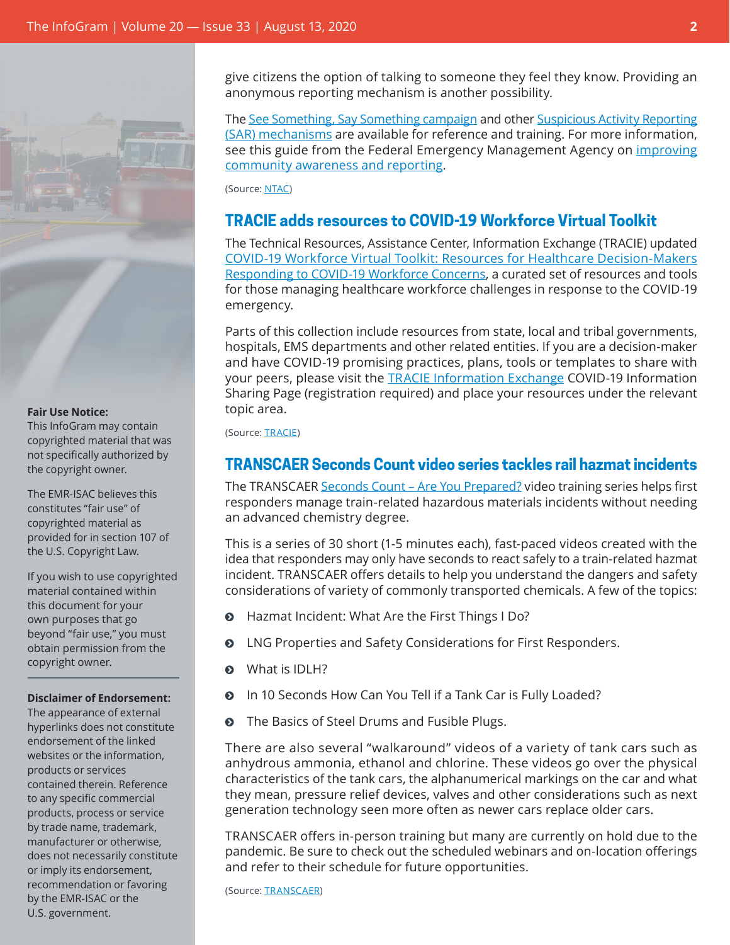

#### **Fair Use Notice:**

This InfoGram may contain copyrighted material that was not specifically authorized by the copyright owner.

The EMR-ISAC believes this constitutes "fair use" of copyrighted material as provided for in section 107 of the U.S. Copyright Law.

If you wish to use copyrighted material contained within this document for your own purposes that go beyond "fair use," you must obtain permission from the copyright owner.

#### **Disclaimer of Endorsement:**

The appearance of external hyperlinks does not constitute endorsement of the linked websites or the information, products or services contained therein. Reference to any specific commercial products, process or service by trade name, trademark, manufacturer or otherwise, does not necessarily constitute or imply its endorsement, recommendation or favoring by the EMR-ISAC or the U.S. government.

give citizens the option of talking to someone they feel they know. Providing an anonymous reporting mechanism is another possibility.

The [See Something, Say Something campaign](https://www.dhs.gov/see-something-say-something) and other [Suspicious Activity Reporting](https://nsi.ncirc.gov/) [\(SAR\) mechanisms](https://nsi.ncirc.gov/) are available for reference and training. For more information, see this guide from the Federal Emergency Management Agency on *[improving](https://www.fema.gov/media-library-data/20130726-1818-25045-9223/suspiciousactivityresourceguide_508_.pdf)* [community awareness and reporting](https://www.fema.gov/media-library-data/20130726-1818-25045-9223/suspiciousactivityresourceguide_508_.pdf).

(Source: [NTAC\)](https://www.secretservice.gov/protection/ntac/)

#### <span id="page-1-0"></span>**TRACIE adds resources to COVID-19 Workforce Virtual Toolkit**

The Technical Resources, Assistance Center, Information Exchange (TRACIE) updated [COVID-19 Workforce Virtual Toolkit: Resources for Healthcare Decision-Makers](https://asprtracie.hhs.gov/Workforce-Virtual-Toolkit) [Responding to COVID-19 Workforce Concerns](https://asprtracie.hhs.gov/Workforce-Virtual-Toolkit), a curated set of resources and tools for those managing healthcare workforce challenges in response to the COVID-19 emergency.

Parts of this collection include resources from state, local and tribal governments, hospitals, EMS departments and other related entities. If you are a decision-maker and have COVID-19 promising practices, plans, tools or templates to share with your peers, please visit the [TRACIE Information Exchange](https://asprtracie.hhs.gov/information-exchange) COVID-19 Information Sharing Page (registration required) and place your resources under the relevant topic area.

(Source: [TRACIE](https://asprtracie.hhs.gov/))

## <span id="page-1-1"></span>**TRANSCAER Seconds Count video series tackles rail hazmat incidents**

The TRANSCAER [Seconds Count – Are You Prepared?](https://www.transcaer.com/training/online-training-courses/seconds-count-are-you-prepared) video training series helps first responders manage train-related hazardous materials incidents without needing an advanced chemistry degree.

This is a series of 30 short (1-5 minutes each), fast-paced videos created with the idea that responders may only have seconds to react safely to a train-related hazmat incident. TRANSCAER offers details to help you understand the dangers and safety considerations of variety of commonly transported chemicals. A few of the topics:

- **O** Hazmat Incident: What Are the First Things I Do?
- ĵ LNG Properties and Safety Considerations for First Responders.
- $\odot$  What is IDLH?
- **O** In 10 Seconds How Can You Tell if a Tank Car is Fully Loaded?
- The Basics of Steel Drums and Fusible Plugs.

There are also several "walkaround" videos of a variety of tank cars such as anhydrous ammonia, ethanol and chlorine. These videos go over the physical characteristics of the tank cars, the alphanumerical markings on the car and what they mean, pressure relief devices, valves and other considerations such as next generation technology seen more often as newer cars replace older cars.

TRANSCAER offers in-person training but many are currently on hold due to the pandemic. Be sure to check out the scheduled webinars and on-location offerings and refer to their schedule for future opportunities.

(Source: [TRANSCAER](https://www.transcaer.com/))